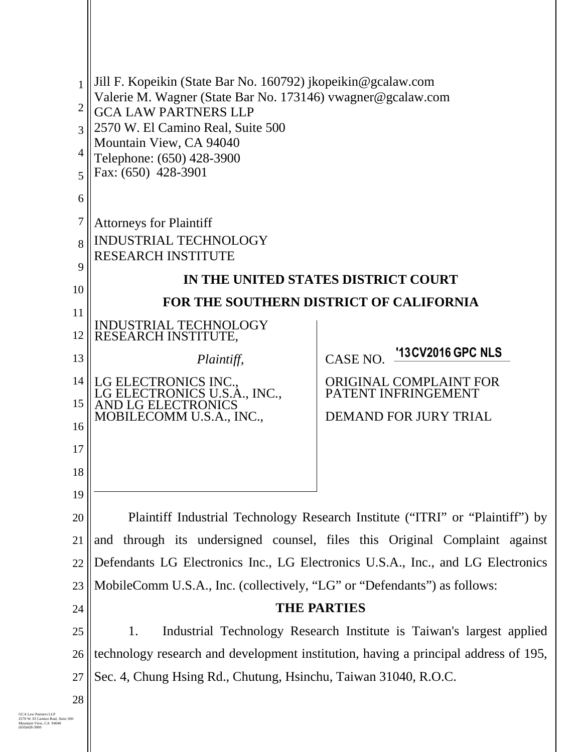| 1              | Jill F. Kopeikin (State Bar No. 160792) jkopeikin@gcalaw.com                               |                                       |  |
|----------------|--------------------------------------------------------------------------------------------|---------------------------------------|--|
| $\overline{2}$ | Valerie M. Wagner (State Bar No. 173146) vwagner@gcalaw.com<br><b>GCA LAW PARTNERS LLP</b> |                                       |  |
| 3              | 2570 W. El Camino Real, Suite 500                                                          |                                       |  |
| 4              | Mountain View, CA 94040<br>Telephone: (650) 428-3900                                       |                                       |  |
| 5              | Fax: (650) 428-3901                                                                        |                                       |  |
| 6              |                                                                                            |                                       |  |
| 7              | <b>Attorneys for Plaintiff</b>                                                             |                                       |  |
| 8              | <b>INDUSTRIAL TECHNOLOGY</b><br><b>RESEARCH INSTITUTE</b>                                  |                                       |  |
| 9              | IN THE UNITED STATES DISTRICT COURT                                                        |                                       |  |
| 10<br>11       | <b>FOR THE SOUTHERN DISTRICT OF CALIFORNIA</b>                                             |                                       |  |
| 12             | INDUSTRIAL TECHNOLOGY<br>RESEARCH INSTITUTE,                                               |                                       |  |
| 13             | Plaintiff,                                                                                 | '13 CV 2016 GPC NLS<br><b>CASE NO</b> |  |
| 14             | LG ELECTRONICS INC.                                                                        | <b>ORIGINAL COMPLAINT FOR</b>         |  |
| 15             | LG ELECTRONICS U.S.A., INC.,<br><b>AND LG ELECTRONICS</b>                                  | PATENT INFRINGEMENT                   |  |
| 16             | MOBILECOMM U.S.A., INC.,                                                                   | <b>DEMAND FOR JURY TRIAL</b>          |  |
| 17             |                                                                                            |                                       |  |
| 18             |                                                                                            |                                       |  |
| 19             |                                                                                            |                                       |  |
| 20             | Plaintiff Industrial Technology Research Institute ("ITRI" or "Plaintiff") by              |                                       |  |
| 21             | and through its undersigned counsel, files this Original Complaint against                 |                                       |  |
| 22             | Defendants LG Electronics Inc., LG Electronics U.S.A., Inc., and LG Electronics            |                                       |  |
| 23             | MobileComm U.S.A., Inc. (collectively, "LG" or "Defendants") as follows:                   |                                       |  |
| 24             | <b>THE PARTIES</b>                                                                         |                                       |  |
| 25             | Industrial Technology Research Institute is Taiwan's largest applied<br>1.                 |                                       |  |
| 26             | technology research and development institution, having a principal address of 195,        |                                       |  |
| 27             | Sec. 4, Chung Hsing Rd., Chutung, Hsinchu, Taiwan 31040, R.O.C.                            |                                       |  |
| 28<br>500      |                                                                                            |                                       |  |
|                |                                                                                            |                                       |  |
|                |                                                                                            |                                       |  |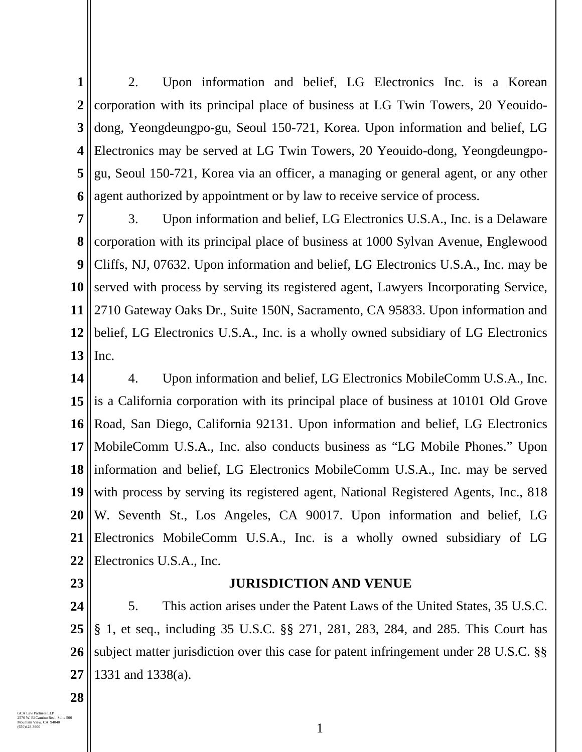**1 2 3 4 5 6** 2. Upon information and belief, LG Electronics Inc. is a Korean corporation with its principal place of business at LG Twin Towers, 20 Yeouidodong, Yeongdeungpo-gu, Seoul 150-721, Korea. Upon information and belief, LG Electronics may be served at LG Twin Towers, 20 Yeouido-dong, Yeongdeungpogu, Seoul 150-721, Korea via an officer, a managing or general agent, or any other agent authorized by appointment or by law to receive service of process.

**7 8 9 10 11 12 13** 3. Upon information and belief, LG Electronics U.S.A., Inc. is a Delaware corporation with its principal place of business at 1000 Sylvan Avenue, Englewood Cliffs, NJ, 07632. Upon information and belief, LG Electronics U.S.A., Inc. may be served with process by serving its registered agent, Lawyers Incorporating Service, 2710 Gateway Oaks Dr., Suite 150N, Sacramento, CA 95833. Upon information and belief, LG Electronics U.S.A., Inc. is a wholly owned subsidiary of LG Electronics Inc.

**14 15 16 17 18 19 20 21 22** 4. Upon information and belief, LG Electronics MobileComm U.S.A., Inc. is a California corporation with its principal place of business at 10101 Old Grove Road, San Diego, California 92131. Upon information and belief, LG Electronics MobileComm U.S.A., Inc. also conducts business as "LG Mobile Phones." Upon information and belief, LG Electronics MobileComm U.S.A., Inc. may be served with process by serving its registered agent, National Registered Agents, Inc., 818 W. Seventh St., Los Angeles, CA 90017. Upon information and belief, LG Electronics MobileComm U.S.A., Inc. is a wholly owned subsidiary of LG Electronics U.S.A., Inc.

**23**

## **JURISDICTION AND VENUE**

**24 25 26 27** 5. This action arises under the Patent Laws of the United States, 35 U.S.C. § 1, et seq., including 35 U.S.C. §§ 271, 281, 283, 284, and 285. This Court has subject matter jurisdiction over this case for patent infringement under 28 U.S.C. §§ 1331 and 1338(a).

**28**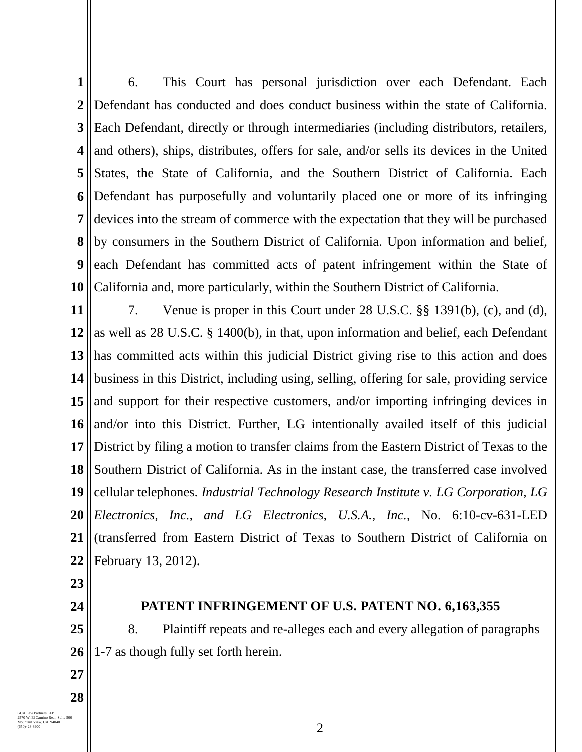**1 2 3 4 5 6 7 8 9 10** 6. This Court has personal jurisdiction over each Defendant. Each Defendant has conducted and does conduct business within the state of California. Each Defendant, directly or through intermediaries (including distributors, retailers, and others), ships, distributes, offers for sale, and/or sells its devices in the United States, the State of California, and the Southern District of California. Each Defendant has purposefully and voluntarily placed one or more of its infringing devices into the stream of commerce with the expectation that they will be purchased by consumers in the Southern District of California. Upon information and belief, each Defendant has committed acts of patent infringement within the State of California and, more particularly, within the Southern District of California.

**11 12 13 14 15 16 17 18 19 20 21 22** 7. Venue is proper in this Court under 28 U.S.C. §§ 1391(b), (c), and (d), as well as 28 U.S.C. § 1400(b), in that, upon information and belief, each Defendant has committed acts within this judicial District giving rise to this action and does business in this District, including using, selling, offering for sale, providing service and support for their respective customers, and/or importing infringing devices in and/or into this District. Further, LG intentionally availed itself of this judicial District by filing a motion to transfer claims from the Eastern District of Texas to the Southern District of California. As in the instant case, the transferred case involved cellular telephones. *Industrial Technology Research Institute v. LG Corporation, LG Electronics, Inc., and LG Electronics, U.S.A., Inc.*, No. 6:10-cv-631-LED (transferred from Eastern District of Texas to Southern District of California on February 13, 2012).

**23**

**24**

## **PATENT INFRINGEMENT OF U.S. PATENT NO. 6,163,355**

**25 26** 8. Plaintiff repeats and re-alleges each and every allegation of paragraphs 1-7 as though fully set forth herein.

**27**

**28**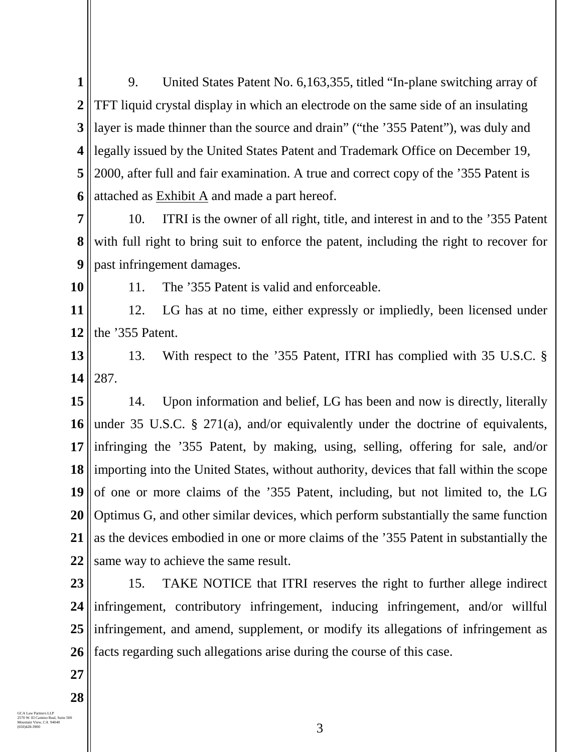**1 2 3 4 5 6** 9. United States Patent No. 6,163,355, titled "In-plane switching array of TFT liquid crystal display in which an electrode on the same side of an insulating layer is made thinner than the source and drain" ("the '355 Patent"), was duly and legally issued by the United States Patent and Trademark Office on December 19, 2000, after full and fair examination. A true and correct copy of the '355 Patent is attached as  $Exhibit A$  and made a part hereof.

**7 8 9** 10. ITRI is the owner of all right, title, and interest in and to the '355 Patent with full right to bring suit to enforce the patent, including the right to recover for past infringement damages.

**10**

11. The '355 Patent is valid and enforceable.

**11 12** 12. LG has at no time, either expressly or impliedly, been licensed under the '355 Patent.

**13 14** 13. With respect to the '355 Patent, ITRI has complied with 35 U.S.C. § 287.

**15 16 17 18 19 20 21 22** 14. Upon information and belief, LG has been and now is directly, literally under 35 U.S.C. § 271(a), and/or equivalently under the doctrine of equivalents, infringing the '355 Patent, by making, using, selling, offering for sale, and/or importing into the United States, without authority, devices that fall within the scope of one or more claims of the '355 Patent, including, but not limited to, the LG Optimus G, and other similar devices, which perform substantially the same function as the devices embodied in one or more claims of the '355 Patent in substantially the same way to achieve the same result.

**23 24 25 26** 15. TAKE NOTICE that ITRI reserves the right to further allege indirect infringement, contributory infringement, inducing infringement, and/or willful infringement, and amend, supplement, or modify its allegations of infringement as facts regarding such allegations arise during the course of this case.

**27**

**28**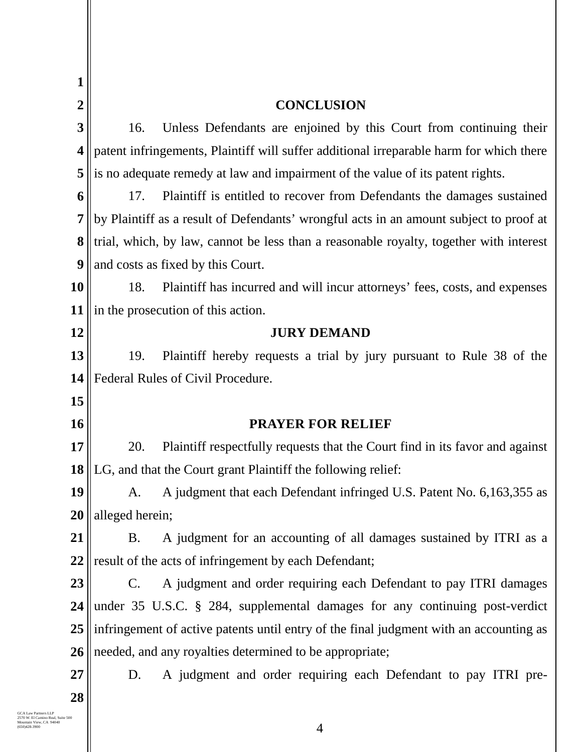| 1                       |                                                                                        |                                                                                         |  |  |
|-------------------------|----------------------------------------------------------------------------------------|-----------------------------------------------------------------------------------------|--|--|
| $\overline{2}$          |                                                                                        | <b>CONCLUSION</b>                                                                       |  |  |
| 3                       | 16.                                                                                    | Unless Defendants are enjoined by this Court from continuing their                      |  |  |
| $\overline{\mathbf{4}}$ |                                                                                        | patent infringements, Plaintiff will suffer additional irreparable harm for which there |  |  |
| 5                       | is no adequate remedy at law and impairment of the value of its patent rights.         |                                                                                         |  |  |
| 6                       | 17.                                                                                    | Plaintiff is entitled to recover from Defendants the damages sustained                  |  |  |
| 7                       | by Plaintiff as a result of Defendants' wrongful acts in an amount subject to proof at |                                                                                         |  |  |
| 8                       | trial, which, by law, cannot be less than a reasonable royalty, together with interest |                                                                                         |  |  |
| 9                       | and costs as fixed by this Court.                                                      |                                                                                         |  |  |
| 10                      | 18.                                                                                    | Plaintiff has incurred and will incur attorneys' fees, costs, and expenses              |  |  |
| 11                      | in the prosecution of this action.                                                     |                                                                                         |  |  |
| 12                      | <b>JURY DEMAND</b>                                                                     |                                                                                         |  |  |
| 13                      | 19.                                                                                    | Plaintiff hereby requests a trial by jury pursuant to Rule 38 of the                    |  |  |
| 14                      |                                                                                        | Federal Rules of Civil Procedure.                                                       |  |  |
| 15                      |                                                                                        |                                                                                         |  |  |
| 16                      |                                                                                        | <b>PRAYER FOR RELIEF</b>                                                                |  |  |
| 17                      | 20.                                                                                    | Plaintiff respectfully requests that the Court find in its favor and against            |  |  |
| 18                      |                                                                                        | LG, and that the Court grant Plaintiff the following relief:                            |  |  |
| 19                      | A.                                                                                     | A judgment that each Defendant infringed U.S. Patent No. 6,163,355 as                   |  |  |
| 20                      | alleged herein;                                                                        |                                                                                         |  |  |
| 21                      | <b>B.</b>                                                                              | A judgment for an accounting of all damages sustained by ITRI as a                      |  |  |
| 22                      | result of the acts of infringement by each Defendant;                                  |                                                                                         |  |  |
| 23                      | $C_{\cdot}$                                                                            | A judgment and order requiring each Defendant to pay ITRI damages                       |  |  |
| 24                      |                                                                                        | under 35 U.S.C. § 284, supplemental damages for any continuing post-verdict             |  |  |
| 25                      | infringement of active patents until entry of the final judgment with an accounting as |                                                                                         |  |  |
| 26                      | needed, and any royalties determined to be appropriate;                                |                                                                                         |  |  |
| 27                      | D.                                                                                     | A judgment and order requiring each Defendant to pay ITRI pre-                          |  |  |
| 28                      |                                                                                        |                                                                                         |  |  |
| 500                     |                                                                                        |                                                                                         |  |  |
|                         |                                                                                        | $\overline{4}$                                                                          |  |  |